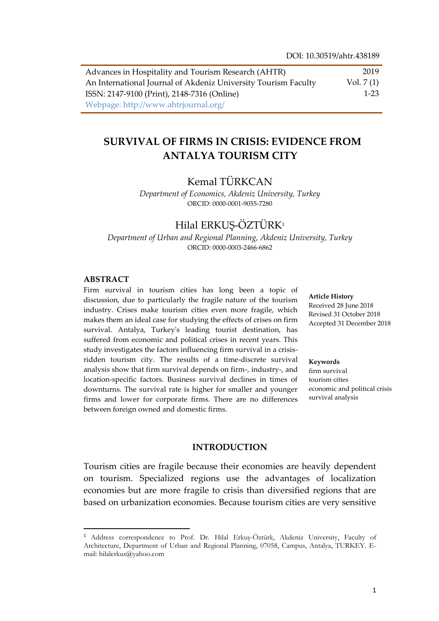| Advances in Hospitality and Tourism Research (AHTR)            | 2019        |
|----------------------------------------------------------------|-------------|
| An International Journal of Akdeniz University Tourism Faculty | Vol. $7(1)$ |
| ISSN: 2147-9100 (Print), 2148-7316 (Online)                    | $1-23$      |
| Webpage: http://www.ahtrjournal.org/                           |             |

# **SURVIVAL OF FIRMS IN CRISIS: EVIDENCE FROM ANTALYA TOURISM CITY**

# Kemal TÜRKCAN

*Department of Economics, Akdeniz University, Turkey* ORCID: 0000-0001-9055-7280

# Hilal ERKUS-ÖZTÜRK<sup>1</sup>

*Department of Urban and Regional Planning, Akdeniz University, Turkey* ORCID: 0000-0003-2466-6862

#### **ABSTRACT**

 $\overline{\phantom{a}}$ 

Firm survival in tourism cities has long been a topic of discussion, due to particularly the fragile nature of the tourism industry. Crises make tourism cities even more fragile, which makes them an ideal case for studying the effects of crises on firm survival. Antalya, Turkey's leading tourist destination, has suffered from economic and political crises in recent years. This study investigates the factors influencing firm survival in a crisisridden tourism city. The results of a time-discrete survival analysis show that firm survival depends on firm-, industry-, and location-specific factors. Business survival declines in times of downturns. The survival rate is higher for smaller and younger firms and lower for corporate firms. There are no differences between foreign owned and domestic firms.

**Article History** Received 28 June 2018 Revised 31 October 2018 Accepted 31 December 2018

#### **Keywords**

firm survival tourism cities economic and political crisis survival analysis

#### **INTRODUCTION**

Tourism cities are fragile because their economies are heavily dependent on tourism. Specialized regions use the advantages of localization economies but are more fragile to crisis than diversified regions that are based on urbanization economies. Because tourism cities are very sensitive

<sup>1</sup> Address correspondence to Prof. Dr. Hilal Erkuş-Öztürk, Akdeniz University, Faculty of Architecture, Department of Urban and Regional Planning, 07058, Campus, Antalya, TURKEY. Email: hilalerkus@yahoo.com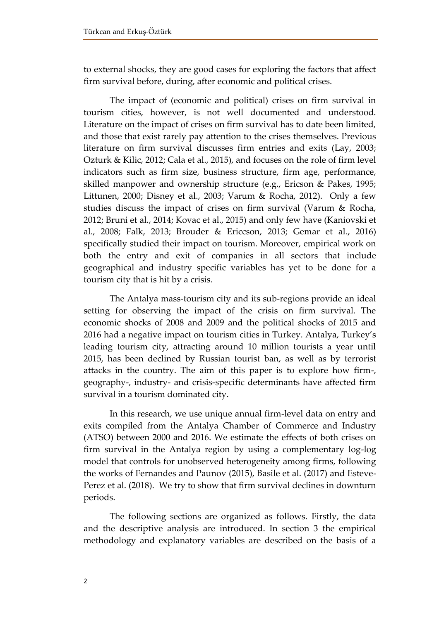to external shocks, they are good cases for exploring the factors that affect firm survival before, during, after economic and political crises.

The impact of (economic and political) crises on firm survival in tourism cities, however, is not well documented and understood. Literature on the impact of crises on firm survival has to date been limited, and those that exist rarely pay attention to the crises themselves. Previous literature on firm survival discusses firm entries and exits (Lay, 2003; Ozturk & Kilic, 2012; Cala et al., 2015), and focuses on the role of firm level indicators such as firm size, business structure, firm age, performance, skilled manpower and ownership structure (e.g., Ericson & Pakes, 1995; Littunen, 2000; Disney et al., 2003; Varum & Rocha, 2012). Only a few studies discuss the impact of crises on firm survival (Varum & Rocha, 2012; Bruni et al., 2014; Kovac et al., 2015) and only few have (Kaniovski et al., 2008; Falk, 2013; Brouder & Ericcson, 2013; Gemar et al., 2016) specifically studied their impact on tourism. Moreover, empirical work on both the entry and exit of companies in all sectors that include geographical and industry specific variables has yet to be done for a tourism city that is hit by a crisis.

The Antalya mass-tourism city and its sub-regions provide an ideal setting for observing the impact of the crisis on firm survival. The economic shocks of 2008 and 2009 and the political shocks of 2015 and 2016 had a negative impact on tourism cities in Turkey. Antalya, Turkey's leading tourism city, attracting around 10 million tourists a year until 2015, has been declined by Russian tourist ban, as well as by terrorist attacks in the country. The aim of this paper is to explore how firm-, geography-, industry- and crisis-specific determinants have affected firm survival in a tourism dominated city.

In this research, we use unique annual firm-level data on entry and exits compiled from the Antalya Chamber of Commerce and Industry (ATSO) between 2000 and 2016. We estimate the effects of both crises on firm survival in the Antalya region by using a complementary log-log model that controls for unobserved heterogeneity among firms, following the works of Fernandes and Paunov (2015), Basile et al. (2017) and Esteve-Perez et al. (2018). We try to show that firm survival declines in downturn periods.

The following sections are organized as follows. Firstly, the data and the descriptive analysis are introduced. In section 3 the empirical methodology and explanatory variables are described on the basis of a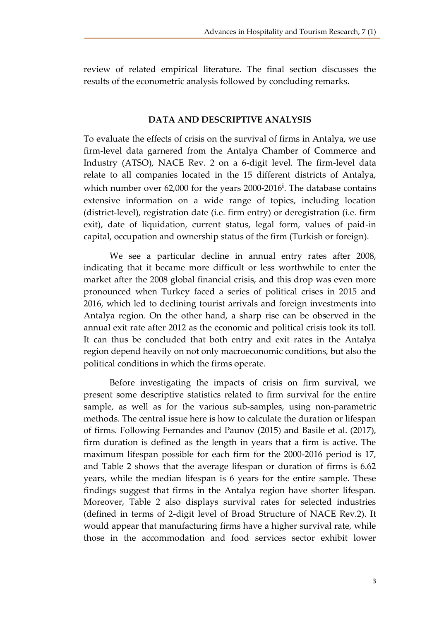review of related empirical literature. The final section discusses the results of the econometric analysis followed by concluding remarks.

# **DATA AND DESCRIPTIVE ANALYSIS**

To evaluate the effects of crisis on the survival of firms in Antalya, we use firm-level data garnered from the Antalya Chamber of Commerce and Industry (ATSO), NACE Rev. 2 on a 6-digit level. The firm-level data relate to all companies located in the 15 different districts of Antalya, which number over 62,000 for the years 2000-2016**<sup>i</sup>** . The database contains extensive information on a wide range of topics, including location (district-level), registration date (i.e. firm entry) or deregistration (i.e. firm exit), date of liquidation, current status, legal form, values of paid-in capital, occupation and ownership status of the firm (Turkish or foreign).

We see a particular decline in annual entry rates after 2008, indicating that it became more difficult or less worthwhile to enter the market after the 2008 global financial crisis, and this drop was even more pronounced when Turkey faced a series of political crises in 2015 and 2016, which led to declining tourist arrivals and foreign investments into Antalya region. On the other hand, a sharp rise can be observed in the annual exit rate after 2012 as the economic and political crisis took its toll. It can thus be concluded that both entry and exit rates in the Antalya region depend heavily on not only macroeconomic conditions, but also the political conditions in which the firms operate.

Before investigating the impacts of crisis on firm survival, we present some descriptive statistics related to firm survival for the entire sample, as well as for the various sub-samples, using non-parametric methods. The central issue here is how to calculate the duration or lifespan of firms. Following Fernandes and Paunov (2015) and Basile et al. (2017), firm duration is defined as the length in years that a firm is active. The maximum lifespan possible for each firm for the 2000-2016 period is 17, and Table 2 shows that the average lifespan or duration of firms is 6.62 years, while the median lifespan is 6 years for the entire sample. These findings suggest that firms in the Antalya region have shorter lifespan. Moreover, Table 2 also displays survival rates for selected industries (defined in terms of 2-digit level of Broad Structure of NACE Rev.2). It would appear that manufacturing firms have a higher survival rate, while those in the accommodation and food services sector exhibit lower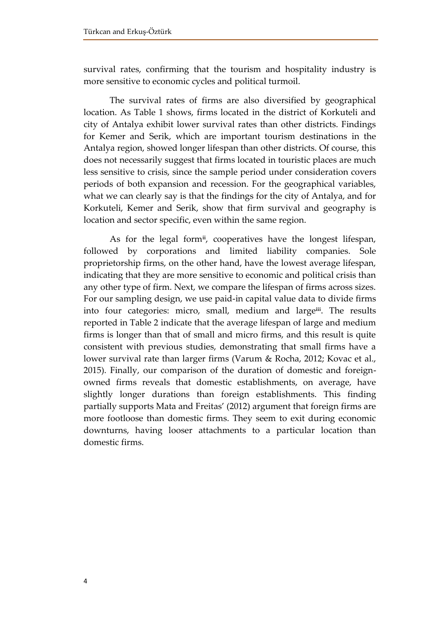survival rates, confirming that the tourism and hospitality industry is more sensitive to economic cycles and political turmoil.

The survival rates of firms are also diversified by geographical location. As Table 1 shows, firms located in the district of Korkuteli and city of Antalya exhibit lower survival rates than other districts. Findings for Kemer and Serik, which are important tourism destinations in the Antalya region, showed longer lifespan than other districts. Of course, this does not necessarily suggest that firms located in touristic places are much less sensitive to crisis, since the sample period under consideration covers periods of both expansion and recession. For the geographical variables, what we can clearly say is that the findings for the city of Antalya, and for Korkuteli, Kemer and Serik, show that firm survival and geography is location and sector specific, even within the same region.

As for the legal form**ii** , cooperatives have the longest lifespan, followed by corporations and limited liability companies. Sole proprietorship firms, on the other hand, have the lowest average lifespan, indicating that they are more sensitive to economic and political crisis than any other type of firm. Next, we compare the lifespan of firms across sizes. For our sampling design, we use paid-in capital value data to divide firms into four categories: micro, small, medium and large**iii** . The results reported in Table 2 indicate that the average lifespan of large and medium firms is longer than that of small and micro firms, and this result is quite consistent with previous studies, demonstrating that small firms have a lower survival rate than larger firms (Varum & Rocha, 2012; Kovac et al., 2015). Finally, our comparison of the duration of domestic and foreignowned firms reveals that domestic establishments, on average, have slightly longer durations than foreign establishments. This finding partially supports Mata and Freitas' (2012) argument that foreign firms are more footloose than domestic firms. They seem to exit during economic downturns, having looser attachments to a particular location than domestic firms.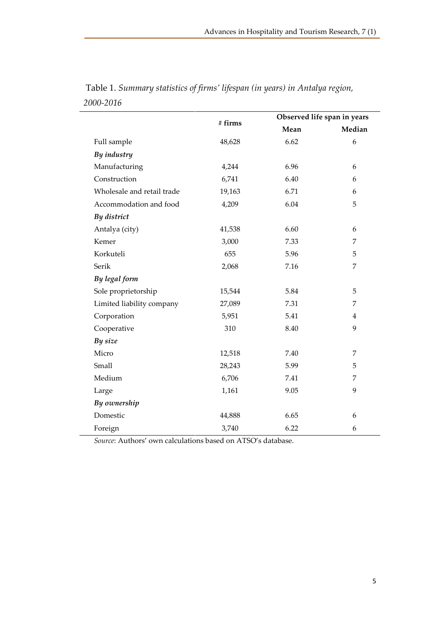|        | Observed life span in years |                |  |
|--------|-----------------------------|----------------|--|
|        | Mean                        | Median         |  |
| 48,628 | 6.62                        | 6              |  |
|        |                             |                |  |
| 4,244  | 6.96                        | 6              |  |
| 6,741  | 6.40                        | 6              |  |
| 19,163 | 6.71                        | 6              |  |
| 4,209  | 6.04                        | 5              |  |
|        |                             |                |  |
| 41,538 | 6.60                        | 6              |  |
| 3,000  | 7.33                        | 7              |  |
| 655    | 5.96                        | 5              |  |
| 2,068  | 7.16                        | 7              |  |
|        |                             |                |  |
| 15,544 | 5.84                        | 5              |  |
| 27,089 | 7.31                        | 7              |  |
| 5,951  | 5.41                        | $\overline{4}$ |  |
| 310    | 8.40                        | 9              |  |
|        |                             |                |  |
| 12,518 | 7.40                        | 7              |  |
| 28,243 | 5.99                        | 5              |  |
| 6,706  | 7.41                        | 7              |  |
| 1,161  | 9.05                        | 9              |  |
|        |                             |                |  |
| 44,888 | 6.65                        | 6              |  |
| 3,740  | 6.22                        | 6              |  |
|        | # firms                     |                |  |

Table 1. *Summary statistics of firms' lifespan (in years) in Antalya region, 2000-2016*

*Source*: Authors' own calculations based on ATSO's database.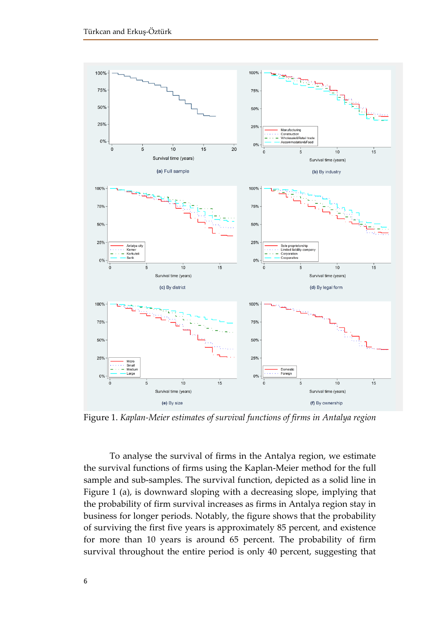

Figure 1. *Kaplan-Meier estimates of survival functions of firms in Antalya region*

To analyse the survival of firms in the Antalya region, we estimate the survival functions of firms using the Kaplan-Meier method for the full sample and sub-samples. The survival function, depicted as a solid line in Figure 1 (a), is downward sloping with a decreasing slope, implying that the probability of firm survival increases as firms in Antalya region stay in business for longer periods. Notably, the figure shows that the probability of surviving the first five years is approximately 85 percent, and existence for more than 10 years is around 65 percent. The probability of firm survival throughout the entire period is only 40 percent, suggesting that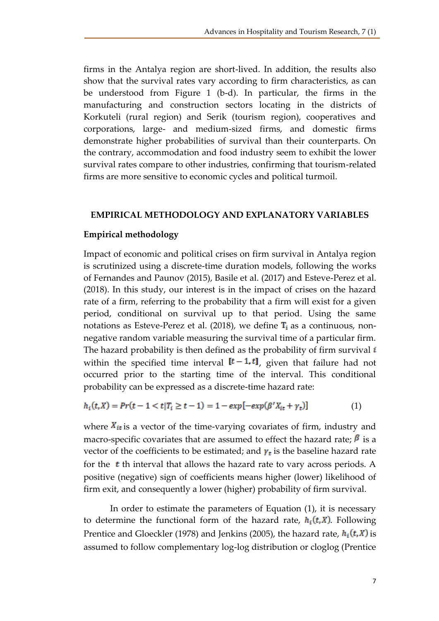firms in the Antalya region are short-lived. In addition, the results also show that the survival rates vary according to firm characteristics, as can be understood from Figure 1 (b-d). In particular, the firms in the manufacturing and construction sectors locating in the districts of Korkuteli (rural region) and Serik (tourism region), cooperatives and corporations, large- and medium-sized firms, and domestic firms demonstrate higher probabilities of survival than their counterparts. On the contrary, accommodation and food industry seem to exhibit the lower survival rates compare to other industries, confirming that tourism-related firms are more sensitive to economic cycles and political turmoil.

# **EMPIRICAL METHODOLOGY AND EXPLANATORY VARIABLES**

# **Empirical methodology**

Impact of economic and political crises on firm survival in Antalya region is scrutinized using a discrete-time duration models, following the works of Fernandes and Paunov (2015), Basile et al. (2017) and Esteve-Perez et al. (2018). In this study, our interest is in the impact of crises on the hazard rate of a firm, referring to the probability that a firm will exist for a given period, conditional on survival up to that period. Using the same notations as Esteve-Perez et al. (2018), we define  $\mathbf{T}_i$  as a continuous, nonnegative random variable measuring the survival time of a particular firm. The hazard probability is then defined as the probability of firm survival  $i$ within the specified time interval  $[t-1, t]$ , given that failure had not occurred prior to the starting time of the interval. This conditional probability can be expressed as a discrete-time hazard rate:

$$
h_i(t, X) = Pr(t - 1 < t | T_i \ge t - 1) = 1 - exp[-exp(\beta' X_{it} + \gamma_t)] \tag{1}
$$

where  $X_{it}$  is a vector of the time-varying covariates of firm, industry and macro-specific covariates that are assumed to effect the hazard rate;  $\beta$  is a vector of the coefficients to be estimated; and  $\gamma_t$  is the baseline hazard rate for the  $t$  th interval that allows the hazard rate to vary across periods. A positive (negative) sign of coefficients means higher (lower) likelihood of firm exit, and consequently a lower (higher) probability of firm survival.

In order to estimate the parameters of Equation (1), it is necessary to determine the functional form of the hazard rate,  $h_i(t, X)$ . Following Prentice and Gloeckler (1978) and Jenkins (2005), the hazard rate,  $h_i(t, X)$  is assumed to follow complementary log-log distribution or cloglog (Prentice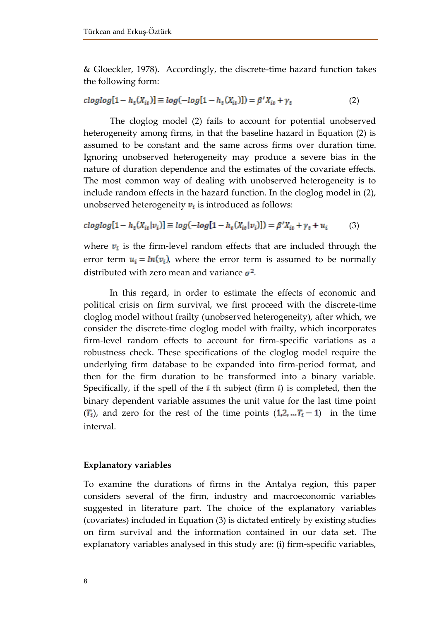& Gloeckler, 1978). Accordingly, the discrete-time hazard function takes the following form:

$$
cloglog[1 - h_t(X_{it})] \equiv log(-log[1 - h_t(X_{it})]) = \beta' X_{it} + \gamma_t
$$
\n(2)

The cloglog model (2) fails to account for potential unobserved heterogeneity among firms, in that the baseline hazard in Equation (2) is assumed to be constant and the same across firms over duration time. Ignoring unobserved heterogeneity may produce a severe bias in the nature of duration dependence and the estimates of the covariate effects. The most common way of dealing with unobserved heterogeneity is to include random effects in the hazard function. In the cloglog model in (2), unobserved heterogeneity  $v_i$  is introduced as follows:

$$
cloglog[1 - h_t(X_{it}|v_i)] \equiv log(-log[1 - h_t(X_{it}|v_i)]) = \beta'X_{it} + \gamma_t + u_i
$$
 (3)

where  $v_i$  is the firm-level random effects that are included through the error term  $u_i = ln(v_i)$ , where the error term is assumed to be normally distributed with zero mean and variance  $\sigma^2$ .

In this regard, in order to estimate the effects of economic and political crisis on firm survival, we first proceed with the discrete-time cloglog model without frailty (unobserved heterogeneity), after which, we consider the discrete-time cloglog model with frailty, which incorporates firm-level random effects to account for firm-specific variations as a robustness check. These specifications of the cloglog model require the underlying firm database to be expanded into firm-period format, and then for the firm duration to be transformed into a binary variable. Specifically, if the spell of the  $i$  th subject (firm  $i$ ) is completed, then the binary dependent variable assumes the unit value for the last time point  $(T_i)$ , and zero for the rest of the time points  $(1, 2, ... T_i - 1)$  in the time interval.

# **Explanatory variables**

To examine the durations of firms in the Antalya region, this paper considers several of the firm, industry and macroeconomic variables suggested in literature part. The choice of the explanatory variables (covariates) included in Equation (3) is dictated entirely by existing studies on firm survival and the information contained in our data set. The explanatory variables analysed in this study are: (i) firm-specific variables,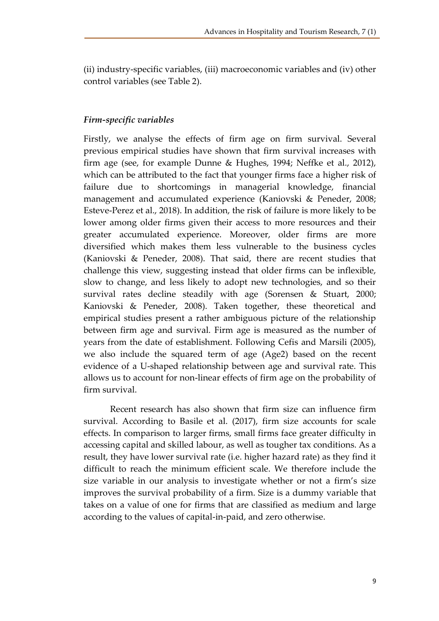(ii) industry-specific variables, (iii) macroeconomic variables and (iv) other control variables (see Table 2).

# *Firm-specific variables*

Firstly, we analyse the effects of firm age on firm survival. Several previous empirical studies have shown that firm survival increases with firm age (see, for example Dunne & Hughes, 1994; Neffke et al., 2012), which can be attributed to the fact that younger firms face a higher risk of failure due to shortcomings in managerial knowledge, financial management and accumulated experience (Kaniovski & Peneder, 2008; Esteve-Perez et al., 2018). In addition, the risk of failure is more likely to be lower among older firms given their access to more resources and their greater accumulated experience. Moreover, older firms are more diversified which makes them less vulnerable to the business cycles (Kaniovski & Peneder, 2008). That said, there are recent studies that challenge this view, suggesting instead that older firms can be inflexible, slow to change, and less likely to adopt new technologies, and so their survival rates decline steadily with age (Sorensen & Stuart, 2000; Kaniovski & Peneder, 2008). Taken together, these theoretical and empirical studies present a rather ambiguous picture of the relationship between firm age and survival. Firm age is measured as the number of years from the date of establishment. Following Cefis and Marsili (2005), we also include the squared term of age (Age2) based on the recent evidence of a U-shaped relationship between age and survival rate. This allows us to account for non-linear effects of firm age on the probability of firm survival.

Recent research has also shown that firm size can influence firm survival. According to Basile et al. (2017), firm size accounts for scale effects. In comparison to larger firms, small firms face greater difficulty in accessing capital and skilled labour, as well as tougher tax conditions. As a result, they have lower survival rate (i.e. higher hazard rate) as they find it difficult to reach the minimum efficient scale. We therefore include the size variable in our analysis to investigate whether or not a firm's size improves the survival probability of a firm. Size is a dummy variable that takes on a value of one for firms that are classified as medium and large according to the values of capital-in-paid, and zero otherwise.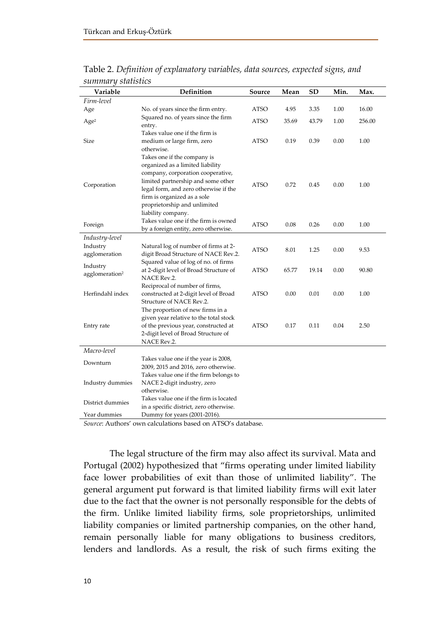| Variable                               | Definition                                                                                                                                                                                                                                                               | Source                      | Mean  | <b>SD</b> | Min. | Max.   |
|----------------------------------------|--------------------------------------------------------------------------------------------------------------------------------------------------------------------------------------------------------------------------------------------------------------------------|-----------------------------|-------|-----------|------|--------|
| Firm-level                             |                                                                                                                                                                                                                                                                          |                             |       |           |      |        |
| Age                                    | No. of years since the firm entry.                                                                                                                                                                                                                                       | ATSO                        | 4.95  | 3.35      | 1.00 | 16.00  |
| Age <sup>2</sup>                       | Squared no. of years since the firm<br>entry.                                                                                                                                                                                                                            | ATSO                        | 35.69 | 43.79     | 1.00 | 256.00 |
| Size                                   | Takes value one if the firm is<br>medium or large firm, zero<br>otherwise.                                                                                                                                                                                               | ATSO                        | 0.19  | 0.39      | 0.00 | 1.00   |
| Corporation                            | Takes one if the company is<br>organized as a limited liability<br>company, corporation cooperative,<br>limited partnership and some other<br>legal form, and zero otherwise if the<br>firm is organized as a sole<br>proprietorship and unlimited<br>liability company. | ATSO                        | 0.72  | 0.45      | 0.00 | 1.00   |
| Foreign                                | Takes value one if the firm is owned<br>by a foreign entity, zero otherwise.                                                                                                                                                                                             | <b>ATSO</b>                 | 0.08  | 0.26      | 0.00 | 1.00   |
| Industry-level                         |                                                                                                                                                                                                                                                                          |                             |       |           |      |        |
| Industry<br>agglomeration              | Natural log of number of firms at 2-<br>digit Broad Structure of NACE Rev.2.                                                                                                                                                                                             | ATSO                        | 8.01  | 1.25      | 0.00 | 9.53   |
| Industry<br>agglomeration <sup>2</sup> | Squared value of log of no. of firms<br>at 2-digit level of Broad Structure of<br>NACE Rev.2.                                                                                                                                                                            | ATSO                        | 65.77 | 19.14     | 0.00 | 90.80  |
| Herfindahl index                       | Reciprocal of number of firms,<br>constructed at 2-digit level of Broad<br>Structure of NACE Rev.2.                                                                                                                                                                      | ATSO                        | 0.00  | 0.01      | 0.00 | 1.00   |
| Entry rate                             | The proportion of new firms in a<br>given year relative to the total stock<br>of the previous year, constructed at<br>2-digit level of Broad Structure of<br>NACE Rev.2.                                                                                                 | ATSO                        | 0.17  | 0.11      | 0.04 | 2.50   |
| Macro-level                            |                                                                                                                                                                                                                                                                          |                             |       |           |      |        |
| Downturn                               | Takes value one if the year is 2008,<br>2009, 2015 and 2016, zero otherwise.                                                                                                                                                                                             |                             |       |           |      |        |
| Industry dummies                       | Takes value one if the firm belongs to<br>NACE 2-digit industry, zero<br>otherwise.                                                                                                                                                                                      |                             |       |           |      |        |
| District dummies                       | Takes value one if the firm is located<br>in a specific district, zero otherwise.                                                                                                                                                                                        |                             |       |           |      |        |
| Year dummies<br>$\rightarrow$          | Dummy for years $(2001-2016)$ .<br>$\mathbf{r}$<br>$\blacksquare$                                                                                                                                                                                                        | $\mathbf{r}$ . $\mathbf{r}$ |       |           |      |        |

Table 2. *Definition of explanatory variables, data sources, expected signs, and summary statistics*

*Source*: Authors' own calculations based on ATSO's database.

The legal structure of the firm may also affect its survival. Mata and Portugal (2002) hypothesized that "firms operating under limited liability face lower probabilities of exit than those of unlimited liability". The general argument put forward is that limited liability firms will exit later due to the fact that the owner is not personally responsible for the debts of the firm. Unlike limited liability firms, sole proprietorships, unlimited liability companies or limited partnership companies, on the other hand, remain personally liable for many obligations to business creditors, lenders and landlords. As a result, the risk of such firms exiting the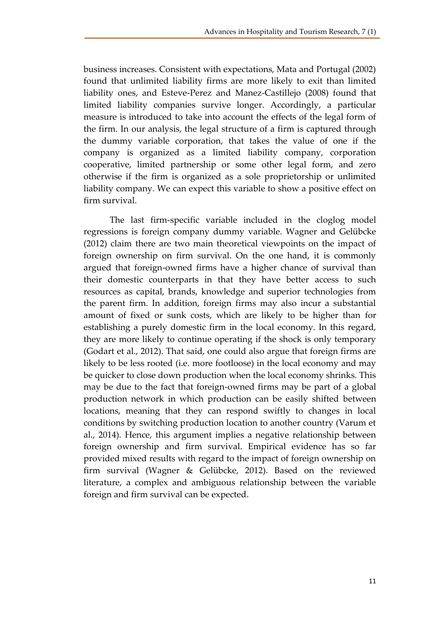business increases. Consistent with expectations, Mata and Portugal (2002) found that unlimited liability firms are more likely to exit than limited liability ones, and Esteve-Perez and Manez-Castillejo (2008) found that limited liability companies survive longer. Accordingly, a particular measure is introduced to take into account the effects of the legal form of the firm. In our analysis, the legal structure of a firm is captured through the dummy variable corporation, that takes the value of one if the company is organized as a limited liability company, corporation cooperative, limited partnership or some other legal form, and zero otherwise if the firm is organized as a sole proprietorship or unlimited liability company. We can expect this variable to show a positive effect on firm survival.

The last firm-specific variable included in the cloglog model regressions is foreign company dummy variable. Wagner and Gelübcke (2012) claim there are two main theoretical viewpoints on the impact of foreign ownership on firm survival. On the one hand, it is commonly argued that foreign-owned firms have a higher chance of survival than their domestic counterparts in that they have better access to such resources as capital, brands, knowledge and superior technologies from the parent firm. In addition, foreign firms may also incur a substantial amount of fixed or sunk costs, which are likely to be higher than for establishing a purely domestic firm in the local economy. In this regard, they are more likely to continue operating if the shock is only temporary (Godart et al., 2012). That said, one could also argue that foreign firms are likely to be less rooted (i.e. more footloose) in the local economy and may be quicker to close down production when the local economy shrinks. This may be due to the fact that foreign-owned firms may be part of a global production network in which production can be easily shifted between locations, meaning that they can respond swiftly to changes in local conditions by switching production location to another country (Varum et al., 2014). Hence, this argument implies a negative relationship between foreign ownership and firm survival. Empirical evidence has so far provided mixed results with regard to the impact of foreign ownership on firm survival (Wagner & Gelübcke, 2012). Based on the reviewed literature, a complex and ambiguous relationship between the variable foreign and firm survival can be expected.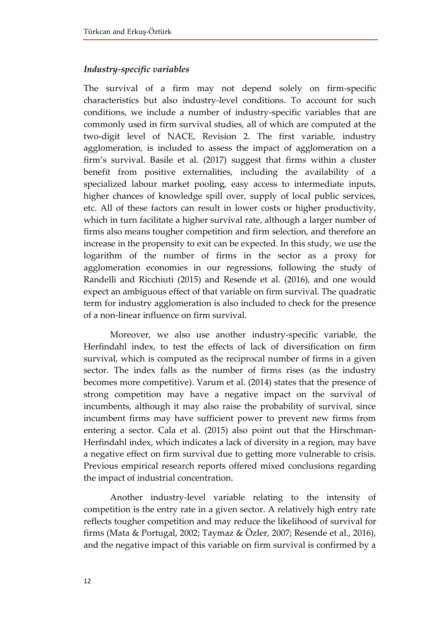# *Industry-specific variables*

The survival of a firm may not depend solely on firm-specific characteristics but also industry-level conditions. To account for such conditions, we include a number of industry-specific variables that are commonly used in firm survival studies, all of which are computed at the two-digit level of NACE, Revision 2. The first variable, industry agglomeration, is included to assess the impact of agglomeration on a firm's survival. Basile et al. (2017) suggest that firms within a cluster benefit from positive externalities, including the availability of a specialized labour market pooling, easy access to intermediate inputs, higher chances of knowledge spill over, supply of local public services, etc. All of these factors can result in lower costs or higher productivity, which in turn facilitate a higher survival rate, although a larger number of firms also means tougher competition and firm selection, and therefore an increase in the propensity to exit can be expected. In this study, we use the logarithm of the number of firms in the sector as a proxy for agglomeration economies in our regressions, following the study of Randelli and Ricchiuti (2015) and Resende et al. (2016), and one would expect an ambiguous effect of that variable on firm survival. The quadratic term for industry agglomeration is also included to check for the presence of a non-linear influence on firm survival.

Moreover, we also use another industry-specific variable, the Herfindahl index, to test the effects of lack of diversification on firm survival, which is computed as the reciprocal number of firms in a given sector. The index falls as the number of firms rises (as the industry becomes more competitive). Varum et al. (2014) states that the presence of strong competition may have a negative impact on the survival of incumbents, although it may also raise the probability of survival, since incumbent firms may have sufficient power to prevent new firms from entering a sector. Cala et al. (2015) also point out that the Hirschman-Herfindahl index, which indicates a lack of diversity in a region, may have a negative effect on firm survival due to getting more vulnerable to crisis. Previous empirical research reports offered mixed conclusions regarding the impact of industrial concentration.

Another industry-level variable relating to the intensity of competition is the entry rate in a given sector. A relatively high entry rate reflects tougher competition and may reduce the likelihood of survival for firms (Mata & Portugal, 2002; Taymaz & Özler, 2007; Resende et al., 2016), and the negative impact of this variable on firm survival is confirmed by a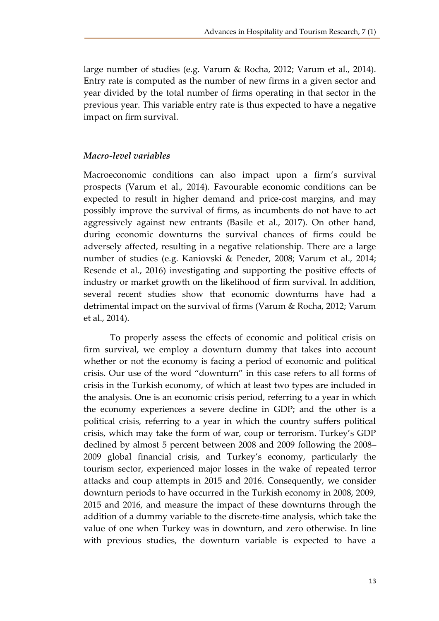large number of studies (e.g. Varum & Rocha, 2012; Varum et al., 2014). Entry rate is computed as the number of new firms in a given sector and year divided by the total number of firms operating in that sector in the previous year. This variable entry rate is thus expected to have a negative impact on firm survival.

# *Macro-level variables*

Macroeconomic conditions can also impact upon a firm's survival prospects (Varum et al., 2014). Favourable economic conditions can be expected to result in higher demand and price-cost margins, and may possibly improve the survival of firms, as incumbents do not have to act aggressively against new entrants (Basile et al., 2017). On other hand, during economic downturns the survival chances of firms could be adversely affected, resulting in a negative relationship. There are a large number of studies (e.g. Kaniovski & Peneder, 2008; Varum et al., 2014; Resende et al., 2016) investigating and supporting the positive effects of industry or market growth on the likelihood of firm survival. In addition, several recent studies show that economic downturns have had a detrimental impact on the survival of firms (Varum & Rocha, 2012; Varum et al., 2014).

To properly assess the effects of economic and political crisis on firm survival, we employ a downturn dummy that takes into account whether or not the economy is facing a period of economic and political crisis. Our use of the word "downturn" in this case refers to all forms of crisis in the Turkish economy, of which at least two types are included in the analysis. One is an economic crisis period, referring to a year in which the economy experiences a severe decline in GDP; and the other is a political crisis, referring to a year in which the country suffers political crisis, which may take the form of war, coup or terrorism. Turkey's GDP declined by almost 5 percent between 2008 and 2009 following the 2008– 2009 global financial crisis, and Turkey's economy, particularly the tourism sector, experienced major losses in the wake of repeated terror attacks and coup attempts in 2015 and 2016. Consequently, we consider downturn periods to have occurred in the Turkish economy in 2008, 2009, 2015 and 2016, and measure the impact of these downturns through the addition of a dummy variable to the discrete-time analysis, which take the value of one when Turkey was in downturn, and zero otherwise. In line with previous studies, the downturn variable is expected to have a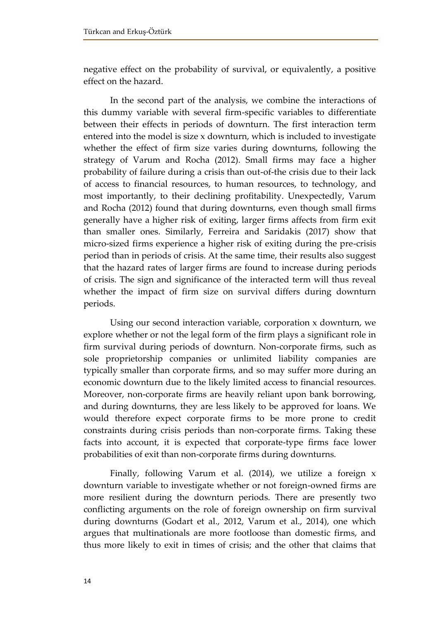negative effect on the probability of survival, or equivalently, a positive effect on the hazard.

In the second part of the analysis, we combine the interactions of this dummy variable with several firm-specific variables to differentiate between their effects in periods of downturn. The first interaction term entered into the model is size x downturn, which is included to investigate whether the effect of firm size varies during downturns, following the strategy of Varum and Rocha (2012). Small firms may face a higher probability of failure during a crisis than out-of-the crisis due to their lack of access to financial resources, to human resources, to technology, and most importantly, to their declining profitability. Unexpectedly, Varum and Rocha (2012) found that during downturns, even though small firms generally have a higher risk of exiting, larger firms affects from firm exit than smaller ones. Similarly, Ferreira and Saridakis (2017) show that micro-sized firms experience a higher risk of exiting during the pre-crisis period than in periods of crisis. At the same time, their results also suggest that the hazard rates of larger firms are found to increase during periods of crisis. The sign and significance of the interacted term will thus reveal whether the impact of firm size on survival differs during downturn periods.

Using our second interaction variable, corporation x downturn, we explore whether or not the legal form of the firm plays a significant role in firm survival during periods of downturn. Non-corporate firms, such as sole proprietorship companies or unlimited liability companies are typically smaller than corporate firms, and so may suffer more during an economic downturn due to the likely limited access to financial resources. Moreover, non-corporate firms are heavily reliant upon bank borrowing, and during downturns, they are less likely to be approved for loans. We would therefore expect corporate firms to be more prone to credit constraints during crisis periods than non-corporate firms. Taking these facts into account, it is expected that corporate-type firms face lower probabilities of exit than non-corporate firms during downturns.

Finally, following Varum et al. (2014), we utilize a foreign x downturn variable to investigate whether or not foreign-owned firms are more resilient during the downturn periods. There are presently two conflicting arguments on the role of foreign ownership on firm survival during downturns (Godart et al., 2012, Varum et al., 2014), one which argues that multinationals are more footloose than domestic firms, and thus more likely to exit in times of crisis; and the other that claims that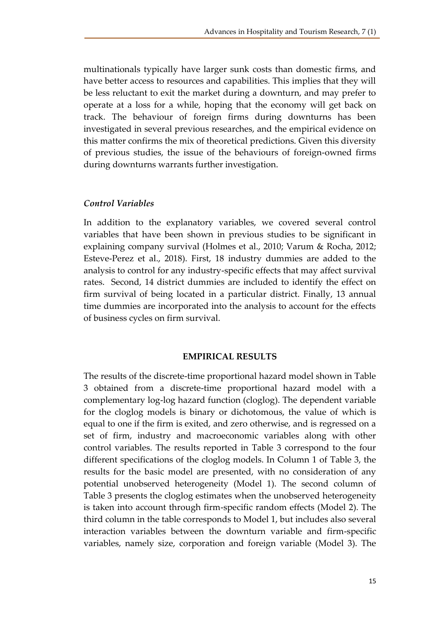multinationals typically have larger sunk costs than domestic firms, and have better access to resources and capabilities. This implies that they will be less reluctant to exit the market during a downturn, and may prefer to operate at a loss for a while, hoping that the economy will get back on track. The behaviour of foreign firms during downturns has been investigated in several previous researches, and the empirical evidence on this matter confirms the mix of theoretical predictions. Given this diversity of previous studies, the issue of the behaviours of foreign-owned firms during downturns warrants further investigation.

# *Control Variables*

In addition to the explanatory variables, we covered several control variables that have been shown in previous studies to be significant in explaining company survival (Holmes et al., 2010; Varum & Rocha, 2012; Esteve-Perez et al., 2018). First, 18 industry dummies are added to the analysis to control for any industry-specific effects that may affect survival rates. Second, 14 district dummies are included to identify the effect on firm survival of being located in a particular district. Finally, 13 annual time dummies are incorporated into the analysis to account for the effects of business cycles on firm survival.

#### **EMPIRICAL RESULTS**

The results of the discrete-time proportional hazard model shown in Table 3 obtained from a discrete-time proportional hazard model with a complementary log-log hazard function (cloglog). The dependent variable for the cloglog models is binary or dichotomous, the value of which is equal to one if the firm is exited, and zero otherwise, and is regressed on a set of firm, industry and macroeconomic variables along with other control variables. The results reported in Table 3 correspond to the four different specifications of the cloglog models. In Column 1 of Table 3, the results for the basic model are presented, with no consideration of any potential unobserved heterogeneity (Model 1). The second column of Table 3 presents the cloglog estimates when the unobserved heterogeneity is taken into account through firm-specific random effects (Model 2). The third column in the table corresponds to Model 1, but includes also several interaction variables between the downturn variable and firm-specific variables, namely size, corporation and foreign variable (Model 3). The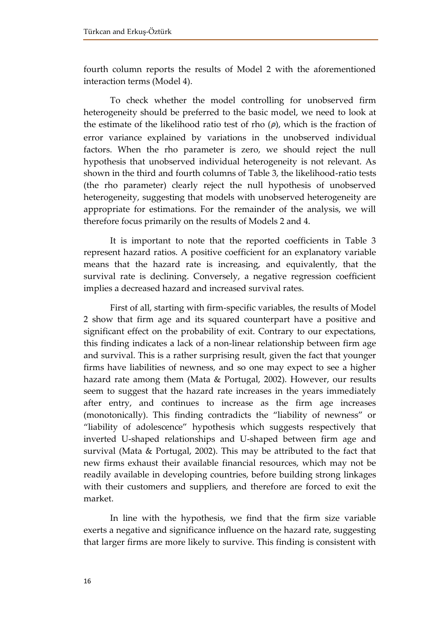fourth column reports the results of Model 2 with the aforementioned interaction terms (Model 4).

To check whether the model controlling for unobserved firm heterogeneity should be preferred to the basic model, we need to look at the estimate of the likelihood ratio test of rho  $(\rho)$ , which is the fraction of error variance explained by variations in the unobserved individual factors. When the rho parameter is zero, we should reject the null hypothesis that unobserved individual heterogeneity is not relevant. As shown in the third and fourth columns of Table 3, the likelihood-ratio tests (the rho parameter) clearly reject the null hypothesis of unobserved heterogeneity, suggesting that models with unobserved heterogeneity are appropriate for estimations. For the remainder of the analysis, we will therefore focus primarily on the results of Models 2 and 4.

It is important to note that the reported coefficients in Table 3 represent hazard ratios. A positive coefficient for an explanatory variable means that the hazard rate is increasing, and equivalently, that the survival rate is declining. Conversely, a negative regression coefficient implies a decreased hazard and increased survival rates.

First of all, starting with firm-specific variables, the results of Model 2 show that firm age and its squared counterpart have a positive and significant effect on the probability of exit. Contrary to our expectations, this finding indicates a lack of a non-linear relationship between firm age and survival. This is a rather surprising result, given the fact that younger firms have liabilities of newness, and so one may expect to see a higher hazard rate among them (Mata & Portugal, 2002). However, our results seem to suggest that the hazard rate increases in the years immediately after entry, and continues to increase as the firm age increases (monotonically). This finding contradicts the "liability of newness" or "liability of adolescence" hypothesis which suggests respectively that inverted U-shaped relationships and U-shaped between firm age and survival (Mata & Portugal, 2002). This may be attributed to the fact that new firms exhaust their available financial resources, which may not be readily available in developing countries, before building strong linkages with their customers and suppliers, and therefore are forced to exit the market.

In line with the hypothesis, we find that the firm size variable exerts a negative and significance influence on the hazard rate, suggesting that larger firms are more likely to survive. This finding is consistent with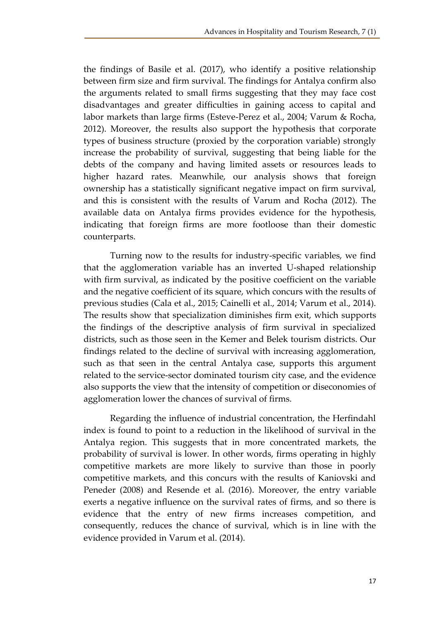the findings of Basile et al. (2017), who identify a positive relationship between firm size and firm survival. The findings for Antalya confirm also the arguments related to small firms suggesting that they may face cost disadvantages and greater difficulties in gaining access to capital and labor markets than large firms (Esteve-Perez et al., 2004; Varum & Rocha, 2012). Moreover, the results also support the hypothesis that corporate types of business structure (proxied by the corporation variable) strongly increase the probability of survival, suggesting that being liable for the debts of the company and having limited assets or resources leads to higher hazard rates. Meanwhile, our analysis shows that foreign ownership has a statistically significant negative impact on firm survival, and this is consistent with the results of Varum and Rocha (2012). The available data on Antalya firms provides evidence for the hypothesis, indicating that foreign firms are more footloose than their domestic counterparts.

Turning now to the results for industry-specific variables, we find that the agglomeration variable has an inverted U-shaped relationship with firm survival, as indicated by the positive coefficient on the variable and the negative coefficient of its square, which concurs with the results of previous studies (Cala et al., 2015; Cainelli et al., 2014; Varum et al., 2014). The results show that specialization diminishes firm exit, which supports the findings of the descriptive analysis of firm survival in specialized districts, such as those seen in the Kemer and Belek tourism districts. Our findings related to the decline of survival with increasing agglomeration, such as that seen in the central Antalya case, supports this argument related to the service-sector dominated tourism city case, and the evidence also supports the view that the intensity of competition or diseconomies of agglomeration lower the chances of survival of firms.

Regarding the influence of industrial concentration, the Herfindahl index is found to point to a reduction in the likelihood of survival in the Antalya region. This suggests that in more concentrated markets, the probability of survival is lower. In other words, firms operating in highly competitive markets are more likely to survive than those in poorly competitive markets, and this concurs with the results of Kaniovski and Peneder (2008) and Resende et al. (2016). Moreover, the entry variable exerts a negative influence on the survival rates of firms, and so there is evidence that the entry of new firms increases competition, and consequently, reduces the chance of survival, which is in line with the evidence provided in Varum et al. (2014).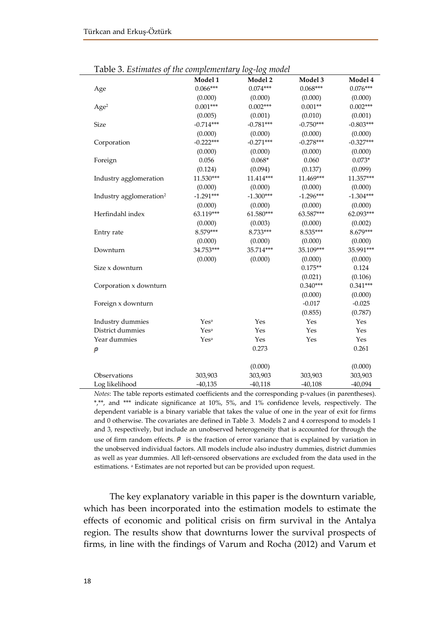|                                     | Model 1          | Model 2     | Model 3     | Model 4     |
|-------------------------------------|------------------|-------------|-------------|-------------|
| Age                                 | $0.066***$       | $0.074***$  | $0.068***$  | $0.076***$  |
|                                     | (0.000)          | (0.000)     | (0.000)     | (0.000)     |
| Age <sup>2</sup>                    | $0.001***$       | $0.002***$  | $0.001**$   | $0.002***$  |
|                                     | (0.005)          | (0.001)     | (0.010)     | (0.001)     |
| <b>Size</b>                         | $-0.714***$      | $-0.781***$ | $-0.750***$ | $-0.803***$ |
|                                     | (0.000)          | (0.000)     | (0.000)     | (0.000)     |
| Corporation                         | $-0.222***$      | $-0.271***$ | $-0.278***$ | $-0.327***$ |
|                                     | (0.000)          | (0.000)     | (0.000)     | (0.000)     |
| Foreign                             | 0.056            | $0.068*$    | 0.060       | $0.073*$    |
|                                     | (0.124)          | (0.094)     | (0.137)     | (0.099)     |
| Industry agglomeration              | 11.530***        | 11.414***   | 11.469***   | 11.357***   |
|                                     | (0.000)          | (0.000)     | (0.000)     | (0.000)     |
| Industry agglomeration <sup>2</sup> | $-1.291***$      | $-1.300***$ | $-1.296***$ | $-1.304***$ |
|                                     | (0.000)          | (0.000)     | (0.000)     | (0.000)     |
| Herfindahl index                    | 63.119***        | 61.580***   | 63.587***   | 62.093***   |
|                                     | (0.000)          | (0.003)     | (0.000)     | (0.002)     |
| Entry rate                          | 8.579***         | 8.733***    | 8.535***    | 8.679***    |
|                                     | (0.000)          | (0.000)     | (0.000)     | (0.000)     |
| Downturn                            | 34.753***        | 35.714***   | 35.109***   | 35.991***   |
|                                     | (0.000)          | (0.000)     | (0.000)     | (0.000)     |
| Size x downturn                     |                  |             | $0.175**$   | 0.124       |
|                                     |                  |             | (0.021)     | (0.106)     |
| Corporation x downturn              |                  |             | $0.340***$  | $0.341***$  |
|                                     |                  |             | (0.000)     | (0.000)     |
| Foreign x downturn                  |                  |             | $-0.017$    | $-0.025$    |
|                                     |                  |             | (0.855)     | (0.787)     |
| Industry dummies                    | Yes <sup>a</sup> | Yes         | Yes         | Yes         |
| District dummies                    | Yes <sup>a</sup> | Yes         | Yes         | Yes         |
| Year dummies                        | Yes <sup>a</sup> | Yes         | Yes         | Yes         |
| ρ                                   |                  | 0.273       |             | 0.261       |
|                                     |                  | (0.000)     |             | (0.000)     |
| Observations                        | 303,903          | 303,903     | 303,903     | 303,903     |
| Log likelihood                      | $-40,135$        | $-40,118$   | $-40,108$   | $-40,094$   |

Table 3. *Estimates of the complementary log-log model*

*Notes*: The table reports estimated coefficients and the corresponding p-values (in parentheses). \*,\*\*, and \*\*\* indicate significance at 10%, 5%, and 1% confidence levels, respectively. The dependent variable is a binary variable that takes the value of one in the year of exit for firms and 0 otherwise. The covariates are defined in Table 3. Models 2 and 4 correspond to models 1 and 3, respectively, but include an unobserved heterogeneity that is accounted for through the use of firm random effects.  $\boldsymbol{P}$  is the fraction of error variance that is explained by variation in the unobserved individual factors. All models include also industry dummies, district dummies as well as year dummies. All left-censored observations are excluded from the data used in the estimations. <sup>a</sup> Estimates are not reported but can be provided upon request.

The key explanatory variable in this paper is the downturn variable, which has been incorporated into the estimation models to estimate the effects of economic and political crisis on firm survival in the Antalya region. The results show that downturns lower the survival prospects of firms, in line with the findings of Varum and Rocha (2012) and Varum et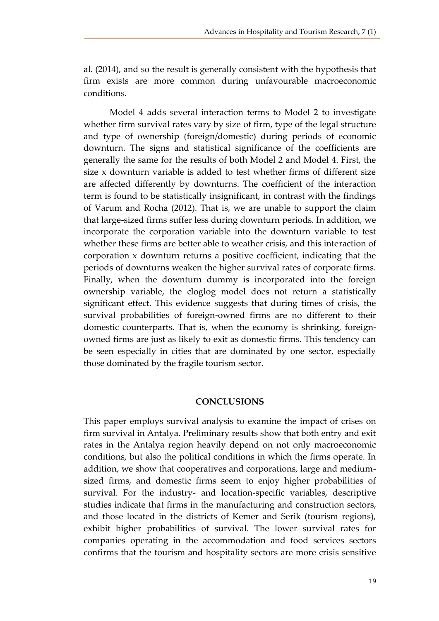al. (2014), and so the result is generally consistent with the hypothesis that firm exists are more common during unfavourable macroeconomic conditions.

Model 4 adds several interaction terms to Model 2 to investigate whether firm survival rates vary by size of firm, type of the legal structure and type of ownership (foreign/domestic) during periods of economic downturn. The signs and statistical significance of the coefficients are generally the same for the results of both Model 2 and Model 4. First, the size x downturn variable is added to test whether firms of different size are affected differently by downturns. The coefficient of the interaction term is found to be statistically insignificant, in contrast with the findings of Varum and Rocha (2012). That is, we are unable to support the claim that large-sized firms suffer less during downturn periods. In addition, we incorporate the corporation variable into the downturn variable to test whether these firms are better able to weather crisis, and this interaction of corporation x downturn returns a positive coefficient, indicating that the periods of downturns weaken the higher survival rates of corporate firms. Finally, when the downturn dummy is incorporated into the foreign ownership variable, the cloglog model does not return a statistically significant effect. This evidence suggests that during times of crisis, the survival probabilities of foreign-owned firms are no different to their domestic counterparts. That is, when the economy is shrinking, foreignowned firms are just as likely to exit as domestic firms. This tendency can be seen especially in cities that are dominated by one sector, especially those dominated by the fragile tourism sector.

# **CONCLUSIONS**

This paper employs survival analysis to examine the impact of crises on firm survival in Antalya. Preliminary results show that both entry and exit rates in the Antalya region heavily depend on not only macroeconomic conditions, but also the political conditions in which the firms operate. In addition, we show that cooperatives and corporations, large and mediumsized firms, and domestic firms seem to enjoy higher probabilities of survival. For the industry- and location-specific variables, descriptive studies indicate that firms in the manufacturing and construction sectors, and those located in the districts of Kemer and Serik (tourism regions), exhibit higher probabilities of survival. The lower survival rates for companies operating in the accommodation and food services sectors confirms that the tourism and hospitality sectors are more crisis sensitive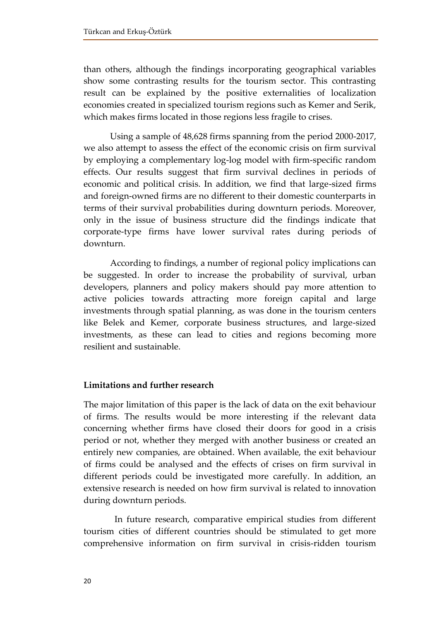than others, although the findings incorporating geographical variables show some contrasting results for the tourism sector. This contrasting result can be explained by the positive externalities of localization economies created in specialized tourism regions such as Kemer and Serik, which makes firms located in those regions less fragile to crises.

Using a sample of 48,628 firms spanning from the period 2000-2017, we also attempt to assess the effect of the economic crisis on firm survival by employing a complementary log-log model with firm-specific random effects. Our results suggest that firm survival declines in periods of economic and political crisis. In addition, we find that large-sized firms and foreign-owned firms are no different to their domestic counterparts in terms of their survival probabilities during downturn periods. Moreover, only in the issue of business structure did the findings indicate that corporate-type firms have lower survival rates during periods of downturn.

According to findings, a number of regional policy implications can be suggested. In order to increase the probability of survival, urban developers, planners and policy makers should pay more attention to active policies towards attracting more foreign capital and large investments through spatial planning, as was done in the tourism centers like Belek and Kemer, corporate business structures, and large-sized investments, as these can lead to cities and regions becoming more resilient and sustainable.

# **Limitations and further research**

The major limitation of this paper is the lack of data on the exit behaviour of firms. The results would be more interesting if the relevant data concerning whether firms have closed their doors for good in a crisis period or not, whether they merged with another business or created an entirely new companies, are obtained. When available, the exit behaviour of firms could be analysed and the effects of crises on firm survival in different periods could be investigated more carefully. In addition, an extensive research is needed on how firm survival is related to innovation during downturn periods.

 In future research, comparative empirical studies from different tourism cities of different countries should be stimulated to get more comprehensive information on firm survival in crisis-ridden tourism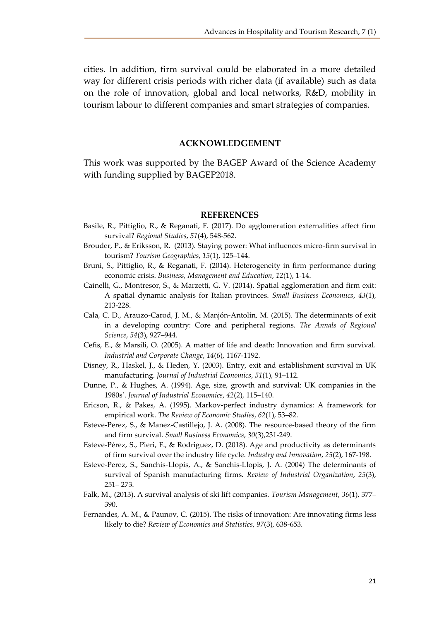cities. In addition, firm survival could be elaborated in a more detailed way for different crisis periods with richer data (if available) such as data on the role of innovation, global and local networks, R&D, mobility in tourism labour to different companies and smart strategies of companies.

#### **ACKNOWLEDGEMENT**

This work was supported by the BAGEP Award of the Science Academy with funding supplied by BAGEP2018.

#### **REFERENCES**

- Basile, R., Pittiglio, R., & Reganati, F. (2017). Do agglomeration externalities affect firm survival? *Regional Studies*, *51*(4), 548-562.
- Brouder, P., & Eriksson, R. (2013). Staying power: What influences micro-firm survival in tourism? *Tourism Geographies*, *15*(1), 125–144.
- Bruni, S., Pittiglio, R., & Reganati, F. (2014). Heterogeneity in firm performance during economic crisis. *Business, Management and Education*, *12*(1), 1-14.
- Cainelli, G., Montresor, S., & Marzetti, G. V. (2014). Spatial agglomeration and firm exit: A spatial dynamic analysis for Italian provinces. *Small Business Economics*, *43*(1), 213-228.
- Cala, C. D., Arauzo-Carod, J. M., & Manjón-Antolín, M. (2015). The determinants of exit in a developing country: Core and peripheral regions. *The Annals of Regional Science*, *54*(3), 927–944.
- Cefis, E., & Marsili, O. (2005). A matter of life and death: Innovation and firm survival. *Industrial and Corporate Change*, *14*(6), 1167-1192.
- Disney, R., Haskel, J., & Heden, Y. (2003). Entry, exit and establishment survival in UK manufacturing. *Journal of Industrial Economics*, *51*(1), 91–112.
- Dunne, P., & Hughes, A. (1994). Age, size, growth and survival: UK companies in the 1980s'. *Journal of Industrial Economics*, *42*(2), 115–140.
- Ericson, R., & Pakes, A. (1995). Markov-perfect industry dynamics: A framework for empirical work. *The Review of Economic Studies*, *62*(1), 53–82.
- Esteve-Perez, S., & Manez-Castillejo, J. A. (2008). The resource-based theory of the firm and firm survival. *Small Business Economics*, *30*(3),231-249.
- Esteve-Pérez, S., Pieri, F., & Rodriguez, D. (2018). Age and productivity as determinants of firm survival over the industry life cycle. *Industry and Innovation*, *25*(2), 167-198.
- Esteve-Perez, S., Sanchis-Llopis, A., & Sanchis-Llopis, J. A. (2004) The determinants of survival of Spanish manufacturing firms. *Review of Industrial Organization*, *25*(3), 251– 273.
- Falk, M., (2013). A survival analysis of ski lift companies. *Tourism Management*, *36*(1), 377– 390.
- Fernandes, A. M., & Paunov, C. (2015). The risks of innovation: Are innovating firms less likely to die? *Review of Economics and Statistics*, *97*(3), 638-653.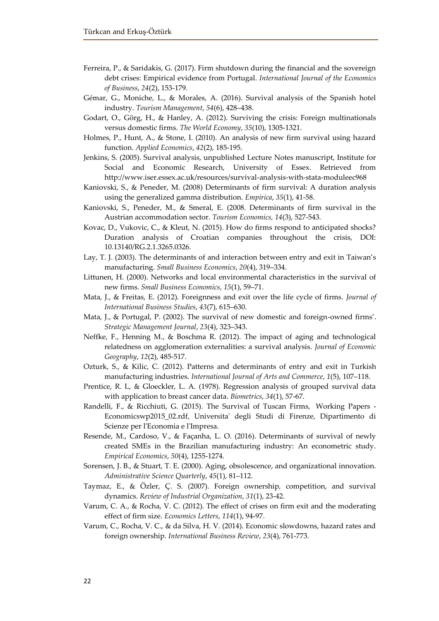- Ferreira, P., & Saridakis, G. (2017). Firm shutdown during the financial and the sovereign debt crises: Empirical evidence from Portugal. *International Journal of the Economics of Business*, *24*(2), 153-179.
- Gémar, G., Moniche, L., & Morales, A. (2016). Survival analysis of the Spanish hotel industry. *Tourism Management*, *54*(6), 428–438.
- Godart, O., Görg, H., & Hanley, A. (2012). Surviving the crisis: Foreign multinationals versus domestic firms. *The World Economy*, *35*(10), 1305-1321.
- Holmes, P., Hunt, A., & Stone, I. (2010). An analysis of new firm survival using hazard function. *Applied Economics*, *42*(2), 185-195.
- Jenkins, S. (2005). Survival analysis, unpublished Lecture Notes manuscript, Institute for Social and Economic Research, University of Essex. Retrieved from http://www.iser.essex.ac.uk/resources/survival-analysis-with-stata-moduleec968
- Kaniovski, S., & Peneder, M. (2008) Determinants of firm survival: A duration analysis using the generalized gamma distribution. *Empirica*, *35*(1), 41-58.
- Kaniovski, S., Peneder, M., & Smeral, E. (2008. Determinants of firm survival in the Austrian accommodation sector. *Tourism Economics, 14*(3), 527-543.
- Kovac, D., Vukovic, C., & Kleut, N. (2015). How do firms respond to anticipated shocks? Duration analysis of Croatian companies throughout the crisis, DOI: 10.13140/RG.2.1.3265.0326.
- Lay, T. J. (2003). The determinants of and interaction between entry and exit in Taiwan's manufacturing. *Small Business Economics*, *20*(4), 319–334.
- Littunen, H. (2000). Networks and local environmental characteristics in the survival of new firms. *Small Business Economics*, *15*(1), 59–71.
- Mata, J., & Freitas, E. (2012). Foreignness and exit over the life cycle of firms. *Journal of International Business Studies*, *43*(7), 615–630.
- Mata, J., & Portugal, P. (2002). The survival of new domestic and foreign-owned firms'. *Strategic Management Journal*, *23*(4), 323–343.
- Neffke, F., Henning M., & Boschma R. (2012). The impact of aging and technological relatedness on agglomeration externalities: a survival analysis. *Journal of Economic Geography*, *12*(2), 485-517.
- Ozturk, S., & Kilic, C. (2012). Patterns and determinants of entry and exit in Turkish manufacturing industries. *International Journal of Arts and Commerce*, *1*(5), 107–118.
- Prentice, R. L, & Gloeckler, L. A. (1978). Regression analysis of grouped survival data with application to breast cancer data. *Biometrics*, *34*(1), 57-67.
- Randelli, F., & Ricchiuti, G. (2015). The Survival of Tuscan Firms, [Working Papers -](https://ideas.repec.org/s/frz/wpaper.html) [Economicsw](https://ideas.repec.org/s/frz/wpaper.html)p2015\_02.rdf, Universita' degli Studi di Firenze, Dipartimento di Scienze per l'Economia e l'Impresa.
- Resende, M., Cardoso, V., & Façanha, L. O. (2016). Determinants of survival of newly created SMEs in the Brazilian manufacturing industry: An econometric study. *Empirical Economics*, *50*(4), 1255-1274.
- Sorensen, J. B., & Stuart, T. E. (2000). Aging, obsolescence, and organizational innovation. *Administrative Science Quarterly*, *45*(1), 81–112.
- Taymaz, E., & Özler, Ç. S. (2007). Foreign ownership, competition, and survival dynamics. *Review of Industrial Organization*, *31*(1), 23-42.
- Varum, C. A., & Rocha, V. C. (2012). The effect of crises on firm exit and the moderating effect of firm size. *Economics Letters*, *114*(1), 94-97.
- Varum, C., Rocha, V. C., & da Silva, H. V. (2014). Economic slowdowns, hazard rates and foreign ownership. *International Business Review*, *23*(4), 761-773.